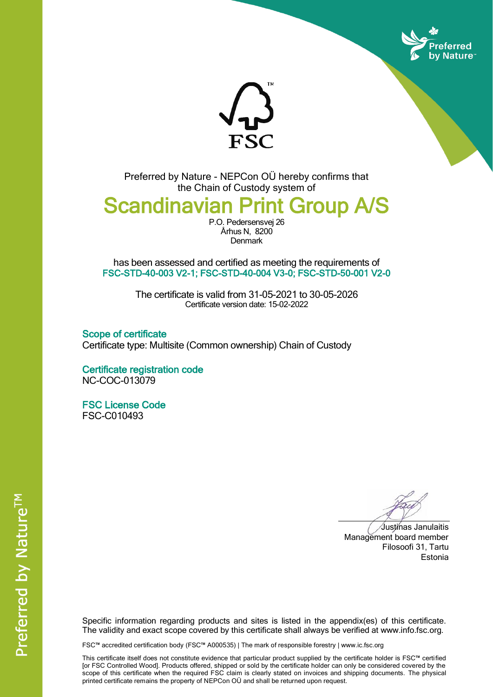



Preferred by Nature - NEPCon OÜ hereby confirms that the Chain of Custody system of

# Scandinavian Print Group A/S

P.O. Pedersensvej 26 Århus N, 8200 **Denmark** 

has been assessed and certified as meeting the requirements of FSC-STD-40-003 V2-1; FSC-STD-40-004 V3-0; FSC-STD-50-001 V2-0

> The certificate is valid from 31-05-2021 to 30-05-2026 Certificate version date: 15-02-2022

Scope of certificate Certificate type: Multisite (Common ownership) Chain of Custody

Certificate registration code NC-COC-013079

FSC License Code FSC-C010493

Justinas Janulaitis Management board member Filosoofi 31, Tartu Estonia

Specific information regarding products and sites is listed in the appendix(es) of this certificate. The validity and exact scope covered by this certificate shall always be verified at www.info.fsc.org.

FSC™ accredited certification body (FSC™ A000535) | The mark of responsible forestry | www.ic.fsc.org

This certificate itself does not constitute evidence that particular product supplied by the certificate holder is FSC™ certified [or FSC Controlled Wood]. Products offered, shipped or sold by the certificate holder can only be considered covered by the scope of this certificate when the required FSC claim is clearly stated on invoices and shipping documents. The physical printed certificate remains the property of NEPCon OÜ and shall be returned upon request.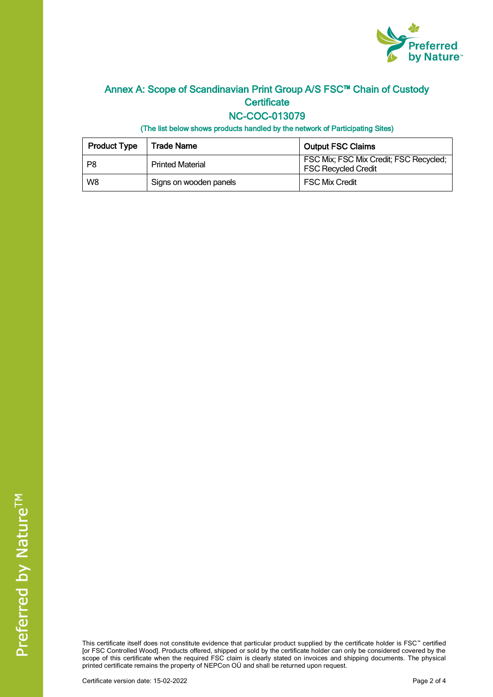

## Annex A: Scope of Scandinavian Print Group A/S FSC™ Chain of Custody **Certificate**

#### NC-COC-013079

(The list below shows products handled by the network of Participating Sites)

| <b>Product Type</b> | Trade Name              | <b>Output FSC Claims</b>                                             |
|---------------------|-------------------------|----------------------------------------------------------------------|
| P8                  | <b>Printed Material</b> | FSC Mix; FSC Mix Credit; FSC Recycled;<br><b>FSC Recycled Credit</b> |
| W8                  | Signs on wooden panels  | <b>FSC Mix Credit</b>                                                |

This certificate itself does not constitute evidence that particular product supplied by the certificate holder is FSC™ certified [or FSC Controlled Wood]. Products offered, shipped or sold by the certificate holder can only be considered covered by the scope of this certificate when the required FSC claim is clearly stated on invoices and shipping documents. The physical printed certificate remains the property of NEPCon OÜ and shall be returned upon request.

Certificate version date: 15-02-2022 **Page 2 of 4** Page 2 of 4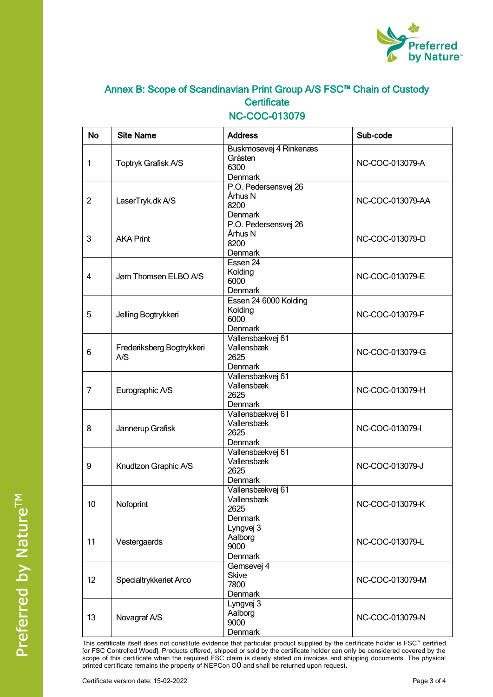

# Annex B: Scope of Scandinavian Print Group A/S FSC™ Chain of Custody **Certificate**

#### NC-COC-013079

| <b>No</b>      | <b>Site Name</b>                 | <b>Address</b>                                       | Sub-code         |
|----------------|----------------------------------|------------------------------------------------------|------------------|
| 1              | Toptryk Grafisk A/S              | Buskmosevej 4 Rinkenæs<br>Gråsten<br>6300<br>Denmark | NC-COC-013079-A  |
| $\overline{2}$ | LaserTryk.dk A/S                 | P.O. Pedersensvej 26<br>Århus N<br>8200<br>Denmark   | NC-COC-013079-AA |
| 3              | <b>AKA Print</b>                 | P.O. Pedersensvej 26<br>Århus N<br>8200<br>Denmark   | NC-COC-013079-D  |
| 4              | Jørn Thomsen ELBO A/S            | Essen 24<br>Kolding<br>6000<br><b>Denmark</b>        | NC-COC-013079-E  |
| 5              | Jelling Bogtrykkeri              | Essen 24 6000 Kolding<br>Kolding<br>6000<br>Denmark  | NC-COC-013079-F  |
| 6              | Frederiksberg Bogtrykkeri<br>A/S | Vallensbækvej 61<br>Vallensbæk<br>2625<br>Denmark    | NC-COC-013079-G  |
| 7              | Eurographic A/S                  | Vallensbækvej 61<br>Vallensbæk<br>2625<br>Denmark    | NC-COC-013079-H  |
| 8              | Jannerup Grafisk                 | Vallensbækvej 61<br>Vallensbæk<br>2625<br>Denmark    | NC-COC-013079-I  |
| 9              | Knudtzon Graphic A/S             | Vallensbækvej 61<br>Vallensbæk<br>2625<br>Denmark    | NC-COC-013079-J  |
| 10             | Nofoprint                        | Vallensbækvej 61<br>Vallensbæk<br>2625<br>Denmark    | NC-COC-013079-K  |
| 11             | Vestergaards                     | Lyngvej 3<br>Aalborg<br>9000<br>Denmark              | NC-COC-013079-L  |
| 12             | Specialtrykkeriet Arco           | Gemsevej 4<br><b>Skive</b><br>7800<br>Denmark        | NC-COC-013079-M  |
| 13             | Novagraf A/S                     | Lyngvej $3$<br>Aalborg<br>9000<br>Denmark            | NC-COC-013079-N  |

This certificate itself does not constitute evidence that particular product supplied by the certificate holder is FSC™ certified [or FSC Controlled Wood]. Products offered, shipped or sold by the certificate holder can only be considered covered by the scope of this certificate when the required FSC claim is clearly stated on invoices and shipping documents. The physical printed certificate remains the property of NEPCon OÜ and shall be returned upon request.